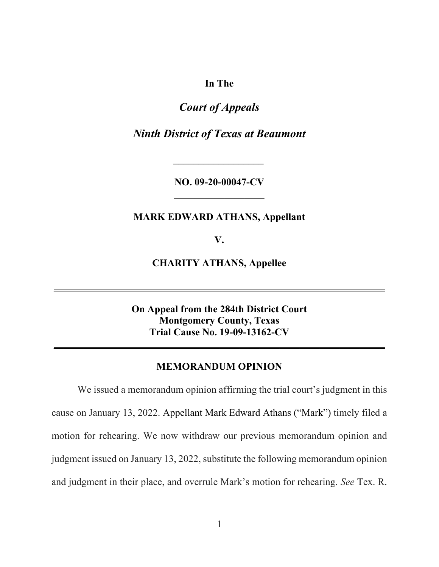**In The** 

# *Court of Appeals*

*Ninth District of Texas at Beaumont* 

**NO. 09-20-00047-CV \_\_\_\_\_\_\_\_\_\_\_\_\_\_\_\_\_\_** 

## **MARK EDWARD ATHANS, Appellant**

**V.** 

**CHARITY ATHANS, Appellee** 

**\_\_\_\_\_\_\_\_\_\_\_\_\_\_\_\_\_\_\_\_\_\_\_\_\_\_\_\_\_\_\_\_\_\_\_\_\_\_\_\_\_\_\_\_\_\_\_\_\_\_\_\_\_\_\_\_\_\_\_\_\_\_\_\_\_\_** 

**On Appeal from the 284th District Court Montgomery County, Texas Trial Cause No. 19-09-13162-CV** 

**\_\_\_\_\_\_\_\_\_\_\_\_\_\_\_\_\_\_\_\_\_\_\_\_\_\_\_\_\_\_\_\_\_\_\_\_\_\_\_\_\_\_\_\_\_\_\_\_\_\_\_\_\_\_\_\_\_\_\_\_\_\_\_\_\_\_**

#### **MEMORANDUM OPINION**

We issued a memorandum opinion affirming the trial court's judgment in this cause on January 13, 2022. Appellant Mark Edward Athans ("Mark") timely filed a motion for rehearing. We now withdraw our previous memorandum opinion and judgment issued on January 13, 2022, substitute the following memorandum opinion and judgment in their place, and overrule Mark's motion for rehearing. *See* Tex. R.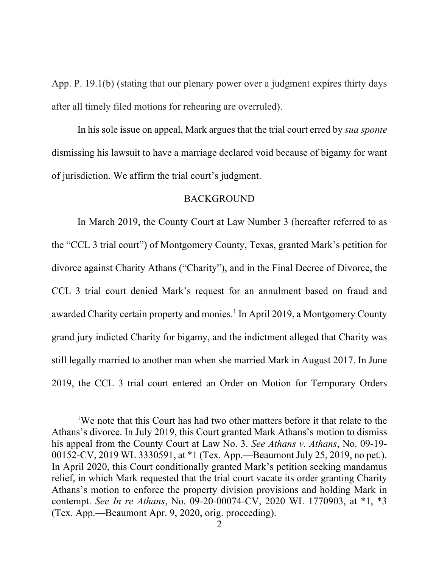App. P. 19.1(b) (stating that our plenary power over a judgment expires thirty days after all timely filed motions for rehearing are overruled).

In his sole issue on appeal, Mark argues that the trial court erred by *sua sponte* dismissing his lawsuit to have a marriage declared void because of bigamy for want of jurisdiction. We affirm the trial court's judgment.

### BACKGROUND

In March 2019, the County Court at Law Number 3 (hereafter referred to as the "CCL 3 trial court") of Montgomery County, Texas, granted Mark's petition for divorce against Charity Athans ("Charity"), and in the Final Decree of Divorce, the CCL 3 trial court denied Mark's request for an annulment based on fraud and awarded Charity certain property and monies.<sup>1</sup> In April 2019, a Montgomery County grand jury indicted Charity for bigamy, and the indictment alleged that Charity was still legally married to another man when she married Mark in August 2017. In June 2019, the CCL 3 trial court entered an Order on Motion for Temporary Orders

<sup>&</sup>lt;sup>1</sup>We note that this Court has had two other matters before it that relate to the Athans's divorce. In July 2019, this Court granted Mark Athans's motion to dismiss his appeal from the County Court at Law No. 3. *See Athans v. Athans*, No. 09-19- 00152-CV, 2019 WL 3330591, at \*1 (Tex. App.—Beaumont July 25, 2019, no pet.). In April 2020, this Court conditionally granted Mark's petition seeking mandamus relief, in which Mark requested that the trial court vacate its order granting Charity Athans's motion to enforce the property division provisions and holding Mark in contempt. *See In re Athans*, No. 09-20-00074-CV, 2020 WL 1770903, at \*1, \*3 (Tex. App.—Beaumont Apr. 9, 2020, orig. proceeding).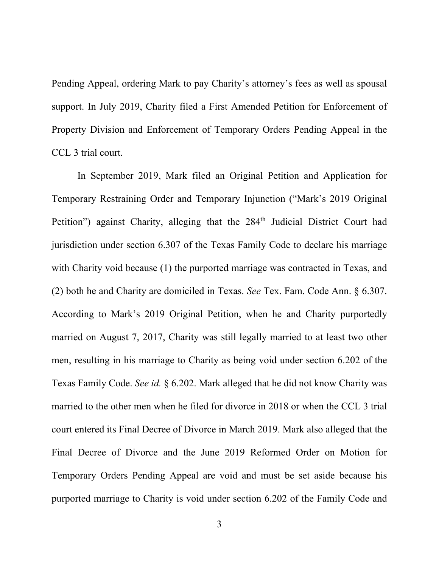Pending Appeal, ordering Mark to pay Charity's attorney's fees as well as spousal support. In July 2019, Charity filed a First Amended Petition for Enforcement of Property Division and Enforcement of Temporary Orders Pending Appeal in the CCL 3 trial court.

In September 2019, Mark filed an Original Petition and Application for Temporary Restraining Order and Temporary Injunction ("Mark's 2019 Original Petition") against Charity, alleging that the 284<sup>th</sup> Judicial District Court had jurisdiction under section 6.307 of the Texas Family Code to declare his marriage with Charity void because (1) the purported marriage was contracted in Texas, and (2) both he and Charity are domiciled in Texas. *See* Tex. Fam. Code Ann. § 6.307. According to Mark's 2019 Original Petition, when he and Charity purportedly married on August 7, 2017, Charity was still legally married to at least two other men, resulting in his marriage to Charity as being void under section 6.202 of the Texas Family Code. *See id.* § 6.202. Mark alleged that he did not know Charity was married to the other men when he filed for divorce in 2018 or when the CCL 3 trial court entered its Final Decree of Divorce in March 2019. Mark also alleged that the Final Decree of Divorce and the June 2019 Reformed Order on Motion for Temporary Orders Pending Appeal are void and must be set aside because his purported marriage to Charity is void under section 6.202 of the Family Code and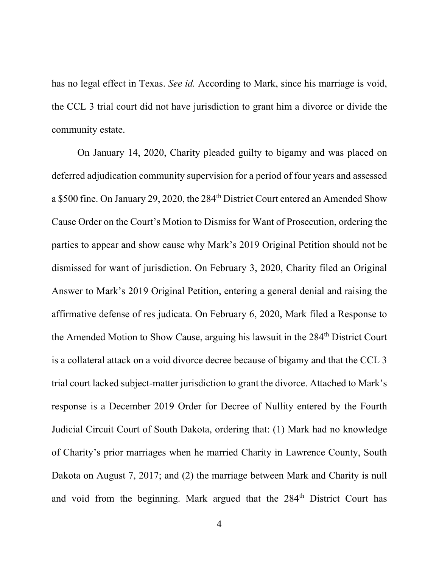has no legal effect in Texas. *See id.* According to Mark, since his marriage is void, the CCL 3 trial court did not have jurisdiction to grant him a divorce or divide the community estate.

On January 14, 2020, Charity pleaded guilty to bigamy and was placed on deferred adjudication community supervision for a period of four years and assessed a \$500 fine. On January 29, 2020, the 284<sup>th</sup> District Court entered an Amended Show Cause Order on the Court's Motion to Dismiss for Want of Prosecution, ordering the parties to appear and show cause why Mark's 2019 Original Petition should not be dismissed for want of jurisdiction. On February 3, 2020, Charity filed an Original Answer to Mark's 2019 Original Petition, entering a general denial and raising the affirmative defense of res judicata. On February 6, 2020, Mark filed a Response to the Amended Motion to Show Cause, arguing his lawsuit in the 284<sup>th</sup> District Court is a collateral attack on a void divorce decree because of bigamy and that the CCL 3 trial court lacked subject-matter jurisdiction to grant the divorce. Attached to Mark's response is a December 2019 Order for Decree of Nullity entered by the Fourth Judicial Circuit Court of South Dakota, ordering that: (1) Mark had no knowledge of Charity's prior marriages when he married Charity in Lawrence County, South Dakota on August 7, 2017; and (2) the marriage between Mark and Charity is null and void from the beginning. Mark argued that the 284<sup>th</sup> District Court has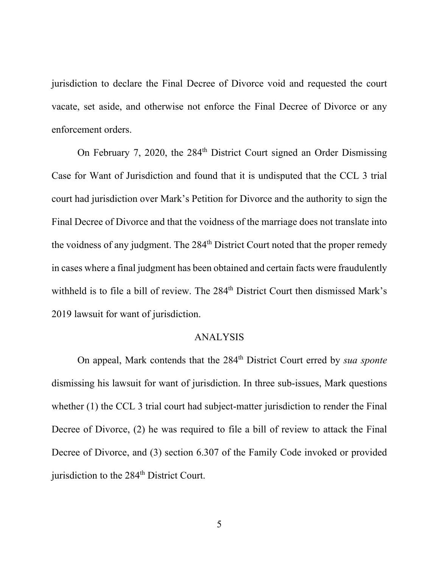jurisdiction to declare the Final Decree of Divorce void and requested the court vacate, set aside, and otherwise not enforce the Final Decree of Divorce or any enforcement orders.

On February 7, 2020, the 284<sup>th</sup> District Court signed an Order Dismissing Case for Want of Jurisdiction and found that it is undisputed that the CCL 3 trial court had jurisdiction over Mark's Petition for Divorce and the authority to sign the Final Decree of Divorce and that the voidness of the marriage does not translate into the voidness of any judgment. The 284<sup>th</sup> District Court noted that the proper remedy in cases where a final judgment has been obtained and certain facts were fraudulently withheld is to file a bill of review. The 284<sup>th</sup> District Court then dismissed Mark's 2019 lawsuit for want of jurisdiction.

#### ANALYSIS

On appeal, Mark contends that the 284<sup>th</sup> District Court erred by *sua sponte* dismissing his lawsuit for want of jurisdiction. In three sub-issues, Mark questions whether (1) the CCL 3 trial court had subject-matter jurisdiction to render the Final Decree of Divorce, (2) he was required to file a bill of review to attack the Final Decree of Divorce, and (3) section 6.307 of the Family Code invoked or provided jurisdiction to the 284<sup>th</sup> District Court.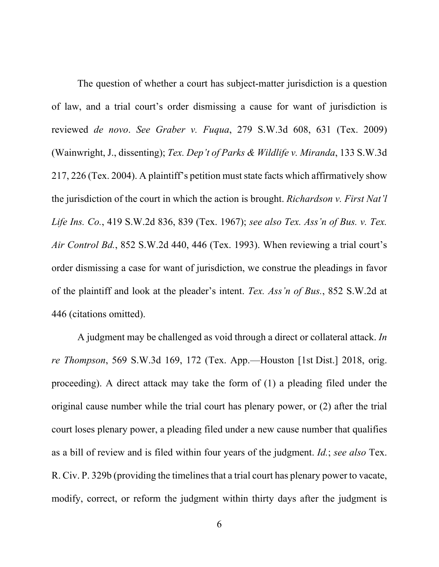The question of whether a court has subject-matter jurisdiction is a question of law, and a trial court's order dismissing a cause for want of jurisdiction is reviewed *de novo*. *See Graber v. Fuqua*, 279 S.W.3d 608, 631 (Tex. 2009) (Wainwright, J., dissenting); *Tex. Dep't of Parks & Wildlife v. Miranda*, 133 S.W.3d 217, 226 (Tex. 2004). A plaintiff's petition must state facts which affirmatively show the jurisdiction of the court in which the action is brought. *Richardson v. First Nat'l Life Ins. Co.*, 419 S.W.2d 836, 839 (Tex. 1967); *see also Tex. Ass'n of Bus. v. Tex. Air Control Bd.*, 852 S.W.2d 440, 446 (Tex. 1993). When reviewing a trial court's order dismissing a case for want of jurisdiction, we construe the pleadings in favor of the plaintiff and look at the pleader's intent. *Tex. Ass'n of Bus.*, 852 S.W.2d at 446 (citations omitted).

 A judgment may be challenged as void through a direct or collateral attack. *In re Thompson*, 569 S.W.3d 169, 172 (Tex. App.—Houston [1st Dist.] 2018, orig. proceeding). A direct attack may take the form of (1) a pleading filed under the original cause number while the trial court has plenary power, or (2) after the trial court loses plenary power, a pleading filed under a new cause number that qualifies as a bill of review and is filed within four years of the judgment. *Id.*; *see also* Tex. R. Civ. P. 329b (providing the timelines that a trial court has plenary power to vacate, modify, correct, or reform the judgment within thirty days after the judgment is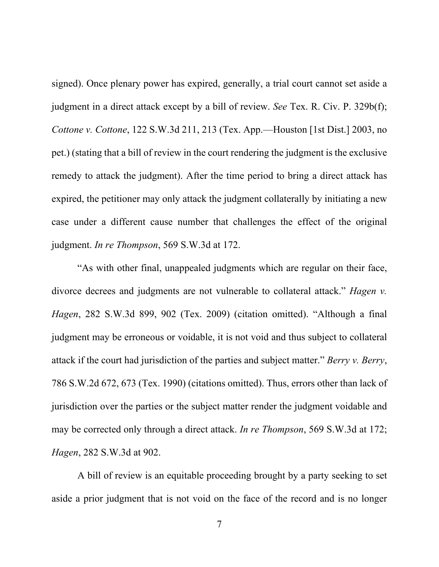signed). Once plenary power has expired, generally, a trial court cannot set aside a judgment in a direct attack except by a bill of review. *See* Tex. R. Civ. P. 329b(f); *Cottone v. Cottone*, 122 S.W.3d 211, 213 (Tex. App.—Houston [1st Dist.] 2003, no pet.) (stating that a bill of review in the court rendering the judgment is the exclusive remedy to attack the judgment). After the time period to bring a direct attack has expired, the petitioner may only attack the judgment collaterally by initiating a new case under a different cause number that challenges the effect of the original judgment. *In re Thompson*, 569 S.W.3d at 172.

 "As with other final, unappealed judgments which are regular on their face, divorce decrees and judgments are not vulnerable to collateral attack." *Hagen v. Hagen*, 282 S.W.3d 899, 902 (Tex. 2009) (citation omitted). "Although a final judgment may be erroneous or voidable, it is not void and thus subject to collateral attack if the court had jurisdiction of the parties and subject matter." *Berry v. Berry*, 786 S.W.2d 672, 673 (Tex. 1990) (citations omitted). Thus, errors other than lack of jurisdiction over the parties or the subject matter render the judgment voidable and may be corrected only through a direct attack. *In re Thompson*, 569 S.W.3d at 172; *Hagen*, 282 S.W.3d at 902.

 A bill of review is an equitable proceeding brought by a party seeking to set aside a prior judgment that is not void on the face of the record and is no longer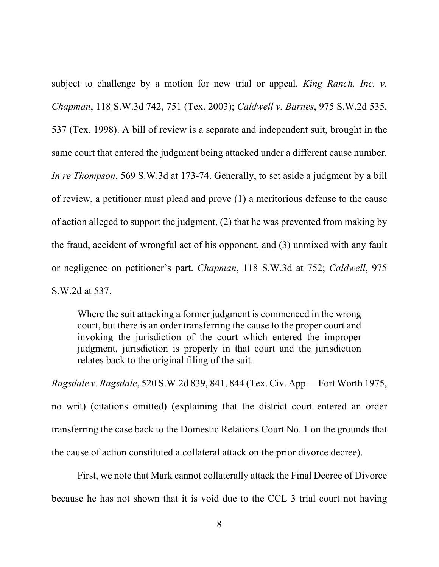subject to challenge by a motion for new trial or appeal. *King Ranch, Inc. v. Chapman*, 118 S.W.3d 742, 751 (Tex. 2003); *Caldwell v. Barnes*, 975 S.W.2d 535, 537 (Tex. 1998). A bill of review is a separate and independent suit, brought in the same court that entered the judgment being attacked under a different cause number. *In re Thompson*, 569 S.W.3d at 173-74. Generally, to set aside a judgment by a bill of review, a petitioner must plead and prove (1) a meritorious defense to the cause of action alleged to support the judgment, (2) that he was prevented from making by the fraud, accident of wrongful act of his opponent, and (3) unmixed with any fault or negligence on petitioner's part. *Chapman*, 118 S.W.3d at 752; *Caldwell*, 975 S.W.2d at 537.

Where the suit attacking a former judgment is commenced in the wrong court, but there is an order transferring the cause to the proper court and invoking the jurisdiction of the court which entered the improper judgment, jurisdiction is properly in that court and the jurisdiction relates back to the original filing of the suit.

*Ragsdale v. Ragsdale*, 520 S.W.2d 839, 841, 844 (Tex. Civ. App.—Fort Worth 1975, no writ) (citations omitted) (explaining that the district court entered an order transferring the case back to the Domestic Relations Court No. 1 on the grounds that the cause of action constituted a collateral attack on the prior divorce decree).

First, we note that Mark cannot collaterally attack the Final Decree of Divorce because he has not shown that it is void due to the CCL 3 trial court not having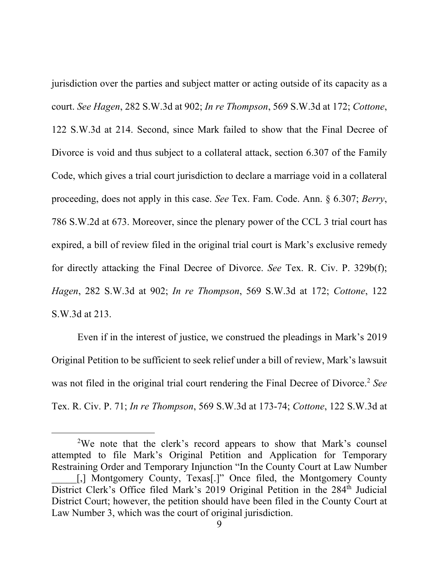jurisdiction over the parties and subject matter or acting outside of its capacity as a court. *See Hagen*, 282 S.W.3d at 902; *In re Thompson*, 569 S.W.3d at 172; *Cottone*, 122 S.W.3d at 214. Second, since Mark failed to show that the Final Decree of Divorce is void and thus subject to a collateral attack, section 6.307 of the Family Code, which gives a trial court jurisdiction to declare a marriage void in a collateral proceeding, does not apply in this case. *See* Tex. Fam. Code. Ann. § 6.307; *Berry*, 786 S.W.2d at 673. Moreover, since the plenary power of the CCL 3 trial court has expired, a bill of review filed in the original trial court is Mark's exclusive remedy for directly attacking the Final Decree of Divorce. *See* Tex. R. Civ. P. 329b(f); *Hagen*, 282 S.W.3d at 902; *In re Thompson*, 569 S.W.3d at 172; *Cottone*, 122 S.W.3d at 213.

Even if in the interest of justice, we construed the pleadings in Mark's 2019 Original Petition to be sufficient to seek relief under a bill of review, Mark's lawsuit was not filed in the original trial court rendering the Final Decree of Divorce.<sup>2</sup> See Tex. R. Civ. P. 71; *In re Thompson*, 569 S.W.3d at 173-74; *Cottone*, 122 S.W.3d at

<sup>&</sup>lt;sup>2</sup>We note that the clerk's record appears to show that Mark's counsel attempted to file Mark's Original Petition and Application for Temporary Restraining Order and Temporary Injunction "In the County Court at Law Number [,] Montgomery County, Texas[.]" Once filed, the Montgomery County District Clerk's Office filed Mark's 2019 Original Petition in the 284<sup>th</sup> Judicial District Court; however, the petition should have been filed in the County Court at Law Number 3, which was the court of original jurisdiction.